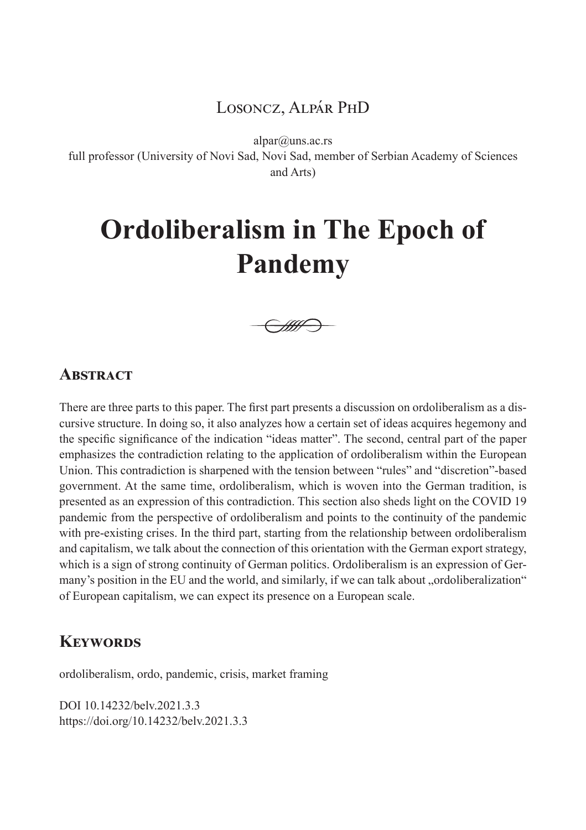# Losoncz, Alpár PhD

alpar@uns.ac.rs

full professor (University of Novi Sad, Novi Sad, member of Serbian Academy of Sciences and Arts)

# **Ordoliberalism in The Epoch of Pandemy**



## **ABSTRACT**

There are three parts to this paper. The first part presents a discussion on ordoliberalism as a discursive structure. In doing so, it also analyzes how a certain set of ideas acquires hegemony and the specific significance of the indication "ideas matter". The second, central part of the paper emphasizes the contradiction relating to the application of ordoliberalism within the European Union. This contradiction is sharpened with the tension between "rules" and "discretion"-based government. At the same time, ordoliberalism, which is woven into the German tradition, is presented as an expression of this contradiction. This section also sheds light on the COVID 19 pandemic from the perspective of ordoliberalism and points to the continuity of the pandemic with pre-existing crises. In the third part, starting from the relationship between ordoliberalism and capitalism, we talk about the connection of this orientation with the German export strategy, which is a sign of strong continuity of German politics. Ordoliberalism is an expression of Germany's position in the EU and the world, and similarly, if we can talk about "ordoliberalization" of European capitalism, we can expect its presence on a European scale.

## **Keywords**

ordoliberalism, ordo, pandemic, crisis, market framing

DOI 10.14232/belv.2021.3.3 https://doi.org/10.14232/belv.2021.3.3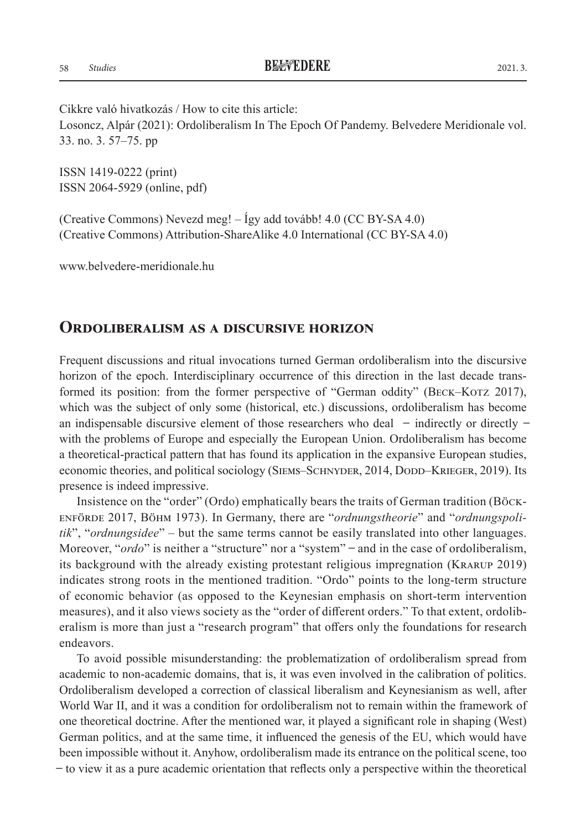ISSN 1419-0222 (print) ISSN 2064-5929 (online, pdf)

(Creative Commons) Nevezd meg! – Így add tovább! 4.0 (CC BY-SA 4.0) (Creative Commons) Attribution-ShareAlike 4.0 International (CC BY-SA 4.0)

www.belvedere-meridionale.hu

#### **Ordoliberalism as a discursive horizon**

Frequent discussions and ritual invocations turned German ordoliberalism into the discursive horizon of the epoch. Interdisciplinary occurrence of this direction in the last decade transformed its position: from the former perspective of "German oddity" (BECK–KOTZ 2017), which was the subject of only some (historical, etc.) discussions, ordoliberalism has become an indispensable discursive element of those researchers who deal  $-$  indirectly or directly  $$ with the problems of Europe and especially the European Union. Ordoliberalism has become a theoretical-practical pattern that has found its application in the expansive European studies, economic theories, and political sociology (SIEMS–SCHNYDER, 2014, DODD–KRIEGER, 2019). Its presence is indeed impressive.

Insistence on the "order" (Ordo) emphatically bears the traits of German tradition (Böckenförde 2017, Böhm 1973). In Germany, there are "*ordnungstheorie*" and "*ordnungspolitik*", "*ordnungsidee*" – but the same terms cannot be easily translated into other languages. Moreover, "*ordo*" is neither a "structure" nor a "system" – and in the case of ordoliberalism, its background with the already existing protestant religious impregnation (Krarup 2019) indicates strong roots in the mentioned tradition. "Ordo" points to the long-term structure of economic behavior (as opposed to the Keynesian emphasis on short-term intervention measures), and it also views society as the "order of different orders." To that extent, ordoliberalism is more than just a "research program" that offers only the foundations for research endeavors.

To avoid possible misunderstanding: the problematization of ordoliberalism spread from academic to non-academic domains, that is, it was even involved in the calibration of politics. Ordoliberalism developed a correction of classical liberalism and Keynesianism as well, after World War II, and it was a condition for ordoliberalism not to remain within the framework of one theoretical doctrine. After the mentioned war, it played a significant role in shaping (West) German politics, and at the same time, it influenced the genesis of the EU, which would have been impossible without it. Anyhow, ordoliberalism made its entrance on the political scene, too ̶ to view it as a pure academic orientation that reflects only a perspective within the theoretical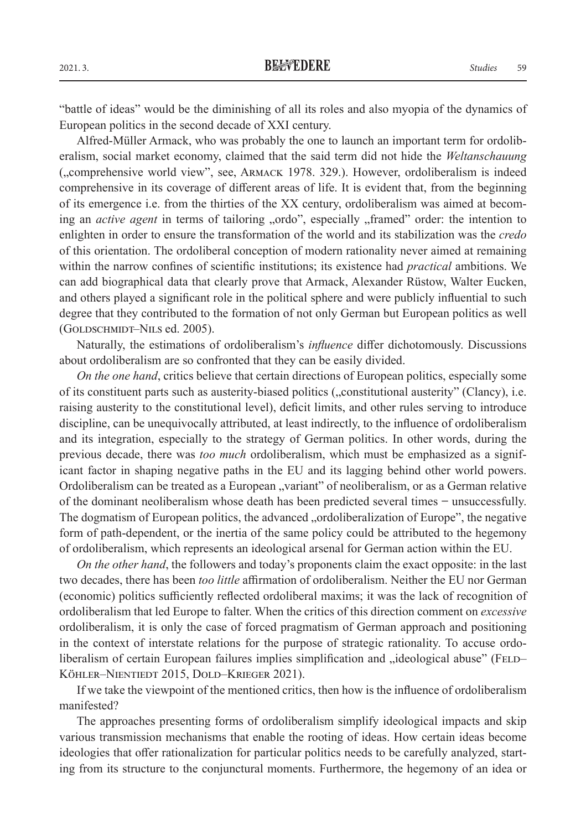"battle of ideas" would be the diminishing of all its roles and also myopia of the dynamics of European politics in the second decade of XXI century.

Alfred-Müller Armack, who was probably the one to launch an important term for ordoliberalism, social market economy, claimed that the said term did not hide the *Weltanschauung* ("comprehensive world view", see, Armack 1978. 329.). However, ordoliberalism is indeed comprehensive in its coverage of different areas of life. It is evident that, from the beginning of its emergence i.e. from the thirties of the XX century, ordoliberalism was aimed at becoming an *active agent* in terms of tailoring "ordo", especially "framed" order: the intention to enlighten in order to ensure the transformation of the world and its stabilization was the *credo* of this orientation. The ordoliberal conception of modern rationality never aimed at remaining within the narrow confines of scientific institutions; its existence had *practical* ambitions. We can add biographical data that clearly prove that Armack, Alexander Rüstow, Walter Eucken, and others played a significant role in the political sphere and were publicly influential to such degree that they contributed to the formation of not only German but European politics as well (GOLDSCHMIDT–NILS ed. 2005).

Naturally, the estimations of ordoliberalism's *influence* differ dichotomously. Discussions about ordoliberalism are so confronted that they can be easily divided.

*On the one hand*, critics believe that certain directions of European politics, especially some of its constituent parts such as austerity-biased politics ("constitutional austerity" (Clancy), i.e. raising austerity to the constitutional level), deficit limits, and other rules serving to introduce discipline, can be unequivocally attributed, at least indirectly, to the influence of ordoliberalism and its integration, especially to the strategy of German politics. In other words, during the previous decade, there was *too much* ordoliberalism, which must be emphasized as a significant factor in shaping negative paths in the EU and its lagging behind other world powers. Ordoliberalism can be treated as a European "variant" of neoliberalism, or as a German relative of the dominant neoliberalism whose death has been predicted several times ̶ unsuccessfully. The dogmatism of European politics, the advanced "ordoliberalization of Europe", the negative form of path-dependent, or the inertia of the same policy could be attributed to the hegemony of ordoliberalism, which represents an ideological arsenal for German action within the EU.

*On the other hand*, the followers and today's proponents claim the exact opposite: in the last two decades, there has been *too little* affirmation of ordoliberalism. Neither the EU nor German (economic) politics sufficiently reflected ordoliberal maxims; it was the lack of recognition of ordoliberalism that led Europe to falter. When the critics of this direction comment on *excessive* ordoliberalism, it is only the case of forced pragmatism of German approach and positioning in the context of interstate relations for the purpose of strategic rationality. To accuse ordoliberalism of certain European failures implies simplification and "ideological abuse" (FELD– Köhler–Nientiedt 2015, Dold–Krieger 2021).

If we take the viewpoint of the mentioned critics, then how is the influence of ordoliberalism manifested?

The approaches presenting forms of ordoliberalism simplify ideological impacts and skip various transmission mechanisms that enable the rooting of ideas. How certain ideas become ideologies that offer rationalization for particular politics needs to be carefully analyzed, starting from its structure to the conjunctural moments. Furthermore, the hegemony of an idea or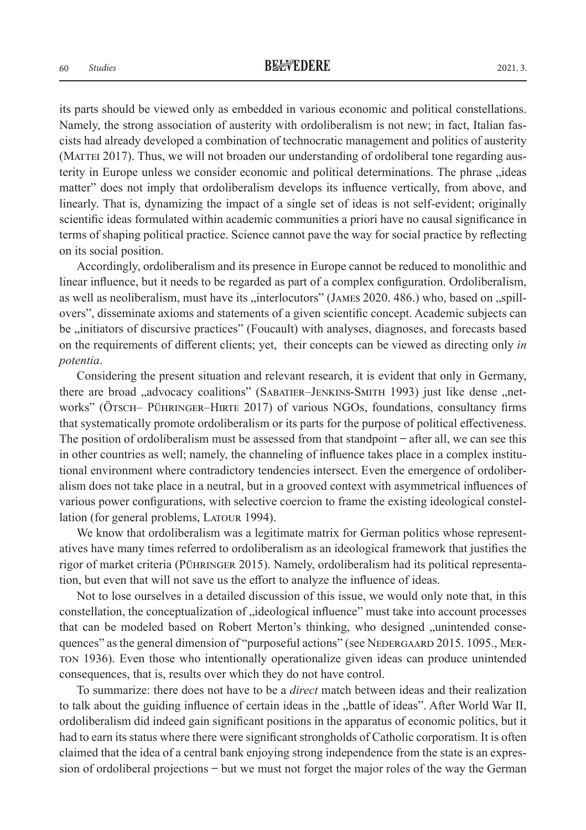its parts should be viewed only as embedded in various economic and political constellations. Namely, the strong association of austerity with ordoliberalism is not new; in fact, Italian fascists had already developed a combination of technocratic management and politics of austerity (MATTEI 2017). Thus, we will not broaden our understanding of ordoliberal tone regarding austerity in Europe unless we consider economic and political determinations. The phrase "ideas matter" does not imply that ordoliberalism develops its influence vertically, from above, and linearly. That is, dynamizing the impact of a single set of ideas is not self-evident; originally scientific ideas formulated within academic communities a priori have no causal significance in terms of shaping political practice. Science cannot pave the way for social practice by reflecting on its social position.

Accordingly, ordoliberalism and its presence in Europe cannot be reduced to monolithic and linear influence, but it needs to be regarded as part of a complex configuration. Ordoliberalism, as well as neoliberalism, must have its "interlocutors" (JAMES 2020. 486.) who, based on "spillovers", disseminate axioms and statements of a given scientific concept. Academic subjects can be "initiators of discursive practices" (Foucault) with analyses, diagnoses, and forecasts based on the requirements of different clients; yet, their concepts can be viewed as directing only *in potentia*.

Considering the present situation and relevant research, it is evident that only in Germany, there are broad "advocacy coalitions" (SABATIER–JENKINS-SMITH 1993) just like dense "networks" (Ötsch– Pühringer–Hirte 2017) of various NGOs, foundations, consultancy firms that systematically promote ordoliberalism or its parts for the purpose of political effectiveness. The position of ordoliberalism must be assessed from that standpoint  $-$  after all, we can see this in other countries as well; namely, the channeling of influence takes place in a complex institutional environment where contradictory tendencies intersect. Even the emergence of ordoliberalism does not take place in a neutral, but in a grooved context with asymmetrical influences of various power configurations, with selective coercion to frame the existing ideological constellation (for general problems, LATOUR 1994).

We know that ordoliberalism was a legitimate matrix for German politics whose representatives have many times referred to ordoliberalism as an ideological framework that justifies the rigor of market criteria (Pühringer 2015). Namely, ordoliberalism had its political representation, but even that will not save us the effort to analyze the influence of ideas.

Not to lose ourselves in a detailed discussion of this issue, we would only note that, in this constellation, the conceptualization of "ideological influence" must take into account processes that can be modeled based on Robert Merton's thinking, who designed "unintended consequences" as the general dimension of "purposeful actions" (see NEDERGAARD 2015. 1095., MERton 1936). Even those who intentionally operationalize given ideas can produce unintended consequences, that is, results over which they do not have control.

To summarize: there does not have to be a *direct* match between ideas and their realization to talk about the guiding influence of certain ideas in the "battle of ideas". After World War II, ordoliberalism did indeed gain significant positions in the apparatus of economic politics, but it had to earn its status where there were significant strongholds of Catholic corporatism. It is often claimed that the idea of a central bank enjoying strong independence from the state is an expression of ordoliberal projections ̶ but we must not forget the major roles of the way the German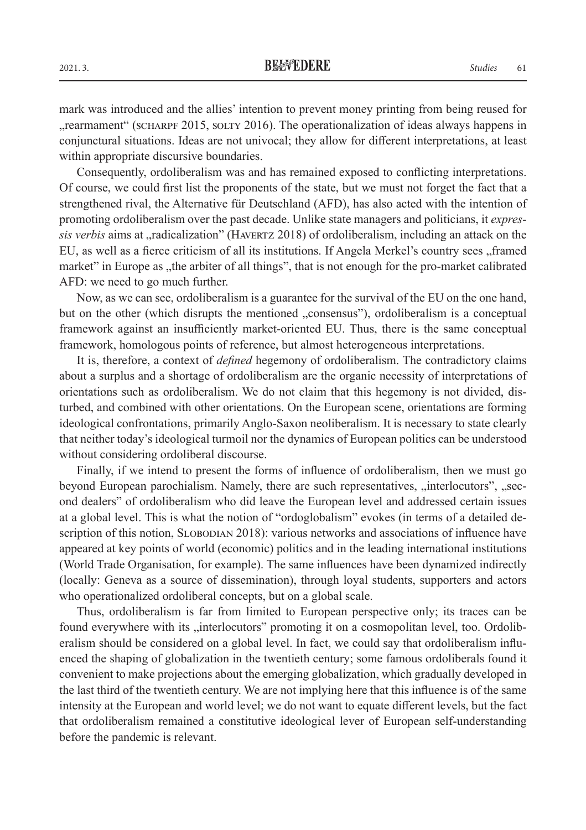mark was introduced and the allies' intention to prevent money printing from being reused for "", rearmament" (SCHARPF 2015, SOLTY 2016). The operationalization of ideas always happens in conjunctural situations. Ideas are not univocal; they allow for different interpretations, at least within appropriate discursive boundaries.

Consequently, ordoliberalism was and has remained exposed to conflicting interpretations. Of course, we could first list the proponents of the state, but we must not forget the fact that a strengthened rival, the Alternative für Deutschland (AFD), has also acted with the intention of promoting ordoliberalism over the past decade. Unlike state managers and politicians, it *expressis verbis* aims at "radicalization" (HAVERTZ 2018) of ordoliberalism, including an attack on the EU, as well as a fierce criticism of all its institutions. If Angela Merkel's country sees "framed market" in Europe as "the arbiter of all things", that is not enough for the pro-market calibrated AFD: we need to go much further.

Now, as we can see, ordoliberalism is a guarantee for the survival of the EU on the one hand, but on the other (which disrupts the mentioned , consensus"), ordoliberalism is a conceptual framework against an insufficiently market-oriented EU. Thus, there is the same conceptual framework, homologous points of reference, but almost heterogeneous interpretations.

It is, therefore, a context of *defined* hegemony of ordoliberalism. The contradictory claims about a surplus and a shortage of ordoliberalism are the organic necessity of interpretations of orientations such as ordoliberalism. We do not claim that this hegemony is not divided, disturbed, and combined with other orientations. On the European scene, orientations are forming ideological confrontations, primarily Anglo-Saxon neoliberalism. It is necessary to state clearly that neither today's ideological turmoil nor the dynamics of European politics can be understood without considering ordoliberal discourse.

Finally, if we intend to present the forms of influence of ordoliberalism, then we must go beyond European parochialism. Namely, there are such representatives, "interlocutors", "second dealers" of ordoliberalism who did leave the European level and addressed certain issues at a global level. This is what the notion of "ordoglobalism" evokes (in terms of a detailed description of this notion, SLOBODIAN 2018): various networks and associations of influence have appeared at key points of world (economic) politics and in the leading international institutions (World Trade Organisation, for example). The same influences have been dynamized indirectly (locally: Geneva as a source of dissemination), through loyal students, supporters and actors who operationalized ordoliberal concepts, but on a global scale.

Thus, ordoliberalism is far from limited to European perspective only; its traces can be found everywhere with its "interlocutors" promoting it on a cosmopolitan level, too. Ordoliberalism should be considered on a global level. In fact, we could say that ordoliberalism influenced the shaping of globalization in the twentieth century; some famous ordoliberals found it convenient to make projections about the emerging globalization, which gradually developed in the last third of the twentieth century. We are not implying here that this influence is of the same intensity at the European and world level; we do not want to equate different levels, but the fact that ordoliberalism remained a constitutive ideological lever of European self-understanding before the pandemic is relevant.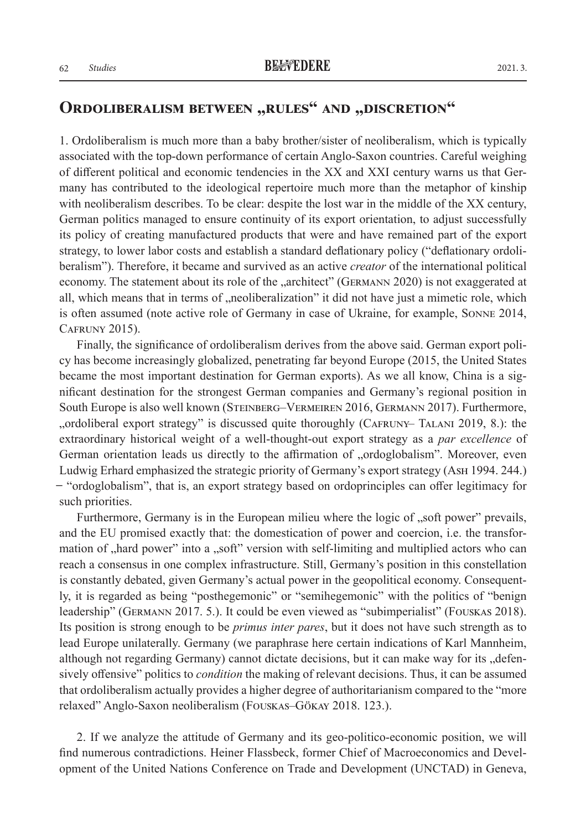## **ORDOLIBERALISM BETWEEN "RULES" AND "DISCRETION"**

1. Ordoliberalism is much more than a baby brother/sister of neoliberalism, which is typically associated with the top-down performance of certain Anglo-Saxon countries. Careful weighing of different political and economic tendencies in the XX and XXI century warns us that Germany has contributed to the ideological repertoire much more than the metaphor of kinship with neoliberalism describes. To be clear: despite the lost war in the middle of the XX century, German politics managed to ensure continuity of its export orientation, to adjust successfully its policy of creating manufactured products that were and have remained part of the export strategy, to lower labor costs and establish a standard deflationary policy ("deflationary ordoliberalism"). Therefore, it became and survived as an active *creator* of the international political economy. The statement about its role of the "architect" (GERMANN 2020) is not exaggerated at all, which means that in terms of "neoliberalization" it did not have just a mimetic role, which is often assumed (note active role of Germany in case of Ukraine, for example, Sonne 2014, Cafruny 2015).

Finally, the significance of ordoliberalism derives from the above said. German export policy has become increasingly globalized, penetrating far beyond Europe (2015, the United States became the most important destination for German exports). As we all know, China is a significant destination for the strongest German companies and Germany's regional position in South Europe is also well known (STEINBERG–VERMEIREN 2016, GERMANN 2017). Furthermore, "ordoliberal export strategy" is discussed quite thoroughly (Cafruny– Talani 2019, 8.): the extraordinary historical weight of a well-thought-out export strategy as a *par excellence* of German orientation leads us directly to the affirmation of "ordoglobalism". Moreover, even Ludwig Erhard emphasized the strategic priority of Germany's export strategy (Ash 1994. 244.) ̶ "ordoglobalism", that is, an export strategy based on ordoprinciples can offer legitimacy for such priorities.

Furthermore, Germany is in the European milieu where the logic of "soft power" prevails, and the EU promised exactly that: the domestication of power and coercion, i.e. the transformation of "hard power" into a "soft" version with self-limiting and multiplied actors who can reach a consensus in one complex infrastructure. Still, Germany's position in this constellation is constantly debated, given Germany's actual power in the geopolitical economy. Consequently, it is regarded as being "posthegemonic" or "semihegemonic" with the politics of "benign leadership" (Germann 2017. 5.). It could be even viewed as "subimperialist" (Fouskas 2018). Its position is strong enough to be *primus inter pares*, but it does not have such strength as to lead Europe unilaterally. Germany (we paraphrase here certain indications of Karl Mannheim, although not regarding Germany) cannot dictate decisions, but it can make way for its "defensively offensive" politics to *condition* the making of relevant decisions. Thus, it can be assumed that ordoliberalism actually provides a higher degree of authoritarianism compared to the "more relaxed" Anglo-Saxon neoliberalism (Fouskas–Gökay 2018. 123.).

2. If we analyze the attitude of Germany and its geo-politico-economic position, we will find numerous contradictions. Heiner Flassbeck, former Chief of Macroeconomics and Development of the United Nations Conference on Trade and Development (UNCTAD) in Geneva,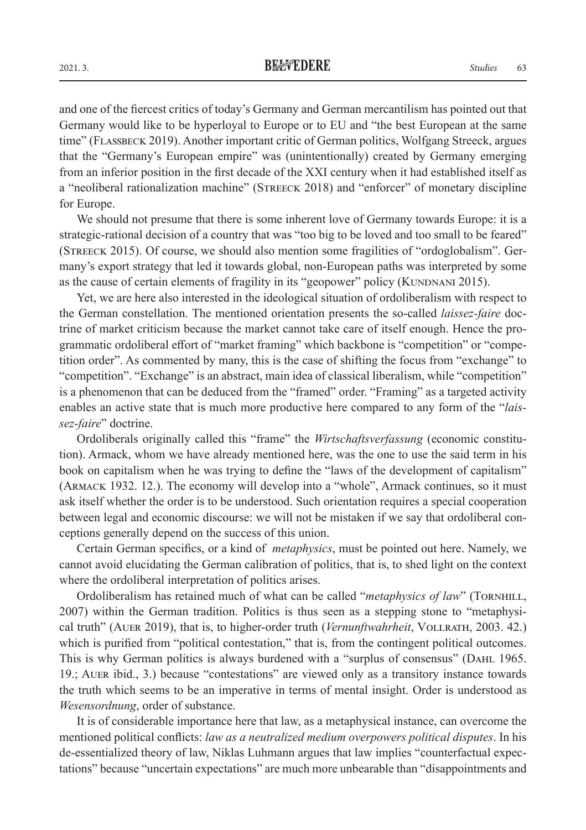and one of the fiercest critics of today's Germany and German mercantilism has pointed out that Germany would like to be hyperloyal to Europe or to EU and "the best European at the same time" (Flassbeck 2019). Another important critic of German politics, Wolfgang Streeck, argues that the "Germany's European empire" was (unintentionally) created by Germany emerging from an inferior position in the first decade of the XXI century when it had established itself as a "neoliberal rationalization machine" (Streeck 2018) and "enforcer" of monetary discipline for Europe.

We should not presume that there is some inherent love of Germany towards Europe: it is a strategic-rational decision of a country that was "too big to be loved and too small to be feared" (Streeck 2015). Of course, we should also mention some fragilities of "ordoglobalism". Germany's export strategy that led it towards global, non-European paths was interpreted by some as the cause of certain elements of fragility in its "geopower" policy (KUNDNANI 2015).

Yet, we are here also interested in the ideological situation of ordoliberalism with respect to the German constellation. The mentioned orientation presents the so-called *laissez-faire* doctrine of market criticism because the market cannot take care of itself enough. Hence the programmatic ordoliberal effort of "market framing" which backbone is "competition" or "competition order". As commented by many, this is the case of shifting the focus from "exchange" to "competition". "Exchange" is an abstract, main idea of classical liberalism, while "competition" is a phenomenon that can be deduced from the "framed" order. "Framing" as a targeted activity enables an active state that is much more productive here compared to any form of the "*laissez-faire*" doctrine.

Ordoliberals originally called this "frame" the *Wirtschaftsverfassung* (economic constitution). Armack, whom we have already mentioned here, was the one to use the said term in his book on capitalism when he was trying to define the "laws of the development of capitalism" (Armack 1932. 12.). The economy will develop into a "whole", Armack continues, so it must ask itself whether the order is to be understood. Such orientation requires a special cooperation between legal and economic discourse: we will not be mistaken if we say that ordoliberal conceptions generally depend on the success of this union.

Certain German specifics, or a kind of *metaphysics*, must be pointed out here. Namely, we cannot avoid elucidating the German calibration of politics, that is, to shed light on the context where the ordoliberal interpretation of politics arises.

Ordoliberalism has retained much of what can be called "*metaphysics of law*" (TORNHILL, 2007) within the German tradition. Politics is thus seen as a stepping stone to "metaphysical truth" (Auer 2019), that is, to higher-order truth (*Vernunftwahrheit*, Vollrath, 2003. 42.) which is purified from "political contestation," that is, from the contingent political outcomes. This is why German politics is always burdened with a "surplus of consensus" (Dahl 1965. 19.; Auer ibid., 3.) because "contestations" are viewed only as a transitory instance towards the truth which seems to be an imperative in terms of mental insight. Order is understood as *Wesensordnung*, order of substance.

It is of considerable importance here that law, as a metaphysical instance, can overcome the mentioned political conflicts: *law as a neutralized medium overpowers political disputes*. In his de-essentialized theory of law, Niklas Luhmann argues that law implies "counterfactual expectations" because "uncertain expectations" are much more unbearable than "disappointments and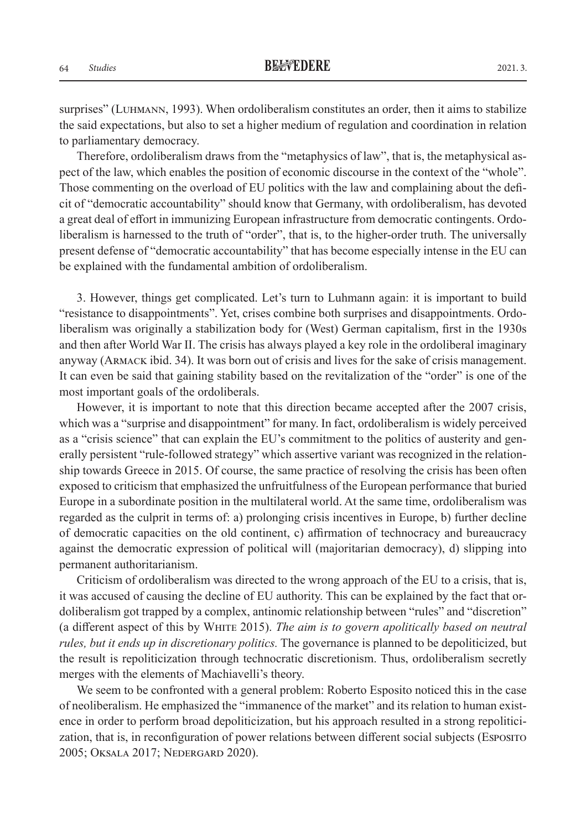surprises" (Luhmann, 1993). When ordoliberalism constitutes an order, then it aims to stabilize the said expectations, but also to set a higher medium of regulation and coordination in relation to parliamentary democracy.

Therefore, ordoliberalism draws from the "metaphysics of law", that is, the metaphysical aspect of the law, which enables the position of economic discourse in the context of the "whole". Those commenting on the overload of EU politics with the law and complaining about the deficit of "democratic accountability" should know that Germany, with ordoliberalism, has devoted a great deal of effort in immunizing European infrastructure from democratic contingents. Ordoliberalism is harnessed to the truth of "order", that is, to the higher-order truth. The universally present defense of "democratic accountability" that has become especially intense in the EU can be explained with the fundamental ambition of ordoliberalism.

3. However, things get complicated. Let's turn to Luhmann again: it is important to build "resistance to disappointments". Yet, crises combine both surprises and disappointments. Ordoliberalism was originally a stabilization body for (West) German capitalism, first in the 1930s and then after World War II. The crisis has always played a key role in the ordoliberal imaginary anyway (Armack ibid. 34). It was born out of crisis and lives for the sake of crisis management. It can even be said that gaining stability based on the revitalization of the "order" is one of the most important goals of the ordoliberals.

However, it is important to note that this direction became accepted after the 2007 crisis, which was a "surprise and disappointment" for many. In fact, ordoliberalism is widely perceived as a "crisis science" that can explain the EU's commitment to the politics of austerity and generally persistent "rule-followed strategy" which assertive variant was recognized in the relationship towards Greece in 2015. Of course, the same practice of resolving the crisis has been often exposed to criticism that emphasized the unfruitfulness of the European performance that buried Europe in a subordinate position in the multilateral world. At the same time, ordoliberalism was regarded as the culprit in terms of: a) prolonging crisis incentives in Europe, b) further decline of democratic capacities on the old continent, c) affirmation of technocracy and bureaucracy against the democratic expression of political will (majoritarian democracy), d) slipping into permanent authoritarianism.

Criticism of ordoliberalism was directed to the wrong approach of the EU to a crisis, that is, it was accused of causing the decline of EU authority. This can be explained by the fact that ordoliberalism got trapped by a complex, antinomic relationship between "rules" and "discretion" (a different aspect of this by White 2015). *The aim is to govern apolitically based on neutral rules, but it ends up in discretionary politics.* The governance is planned to be depoliticized, but the result is repoliticization through technocratic discretionism. Thus, ordoliberalism secretly merges with the elements of Machiavelli's theory.

We seem to be confronted with a general problem: Roberto Esposito noticed this in the case of neoliberalism. He emphasized the "immanence of the market" and its relation to human existence in order to perform broad depoliticization, but his approach resulted in a strong repoliticization, that is, in reconfiguration of power relations between different social subjects (Esposito 2005; Oksala 2017; Nedergard 2020).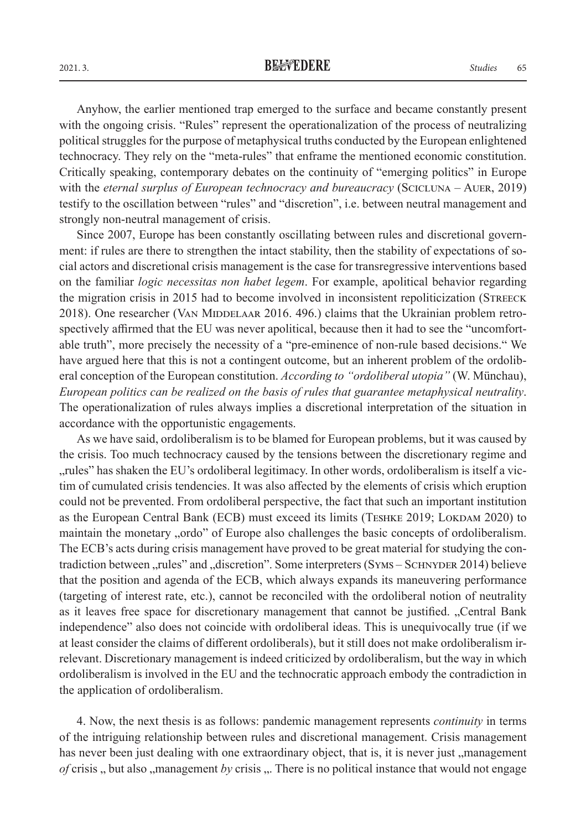Anyhow, the earlier mentioned trap emerged to the surface and became constantly present with the ongoing crisis. "Rules" represent the operationalization of the process of neutralizing political struggles for the purpose of metaphysical truths conducted by the European enlightened technocracy. They rely on the "meta-rules" that enframe the mentioned economic constitution. Critically speaking, contemporary debates on the continuity of "emerging politics" in Europe with the *eternal surplus of European technocracy and bureaucracy* (SCICLUNA – AUER, 2019) testify to the oscillation between "rules" and "discretion", i.e. between neutral management and strongly non-neutral management of crisis.

Since 2007, Europe has been constantly oscillating between rules and discretional government: if rules are there to strengthen the intact stability, then the stability of expectations of social actors and discretional crisis management is the case for transregressive interventions based on the familiar *logic necessitas non habet legem*. For example, apolitical behavior regarding the migration crisis in 2015 had to become involved in inconsistent repoliticization (Streeck 2018). One researcher (VAN MIDDELAAR 2016. 496.) claims that the Ukrainian problem retrospectively affirmed that the EU was never apolitical, because then it had to see the "uncomfortable truth", more precisely the necessity of a "pre-eminence of non-rule based decisions." We have argued here that this is not a contingent outcome, but an inherent problem of the ordoliberal conception of the European constitution. *According to "ordoliberal utopia"* (W. Münchau), *European politics can be realized on the basis of rules that guarantee metaphysical neutrality*. The operationalization of rules always implies a discretional interpretation of the situation in accordance with the opportunistic engagements.

As we have said, ordoliberalism is to be blamed for European problems, but it was caused by the crisis. Too much technocracy caused by the tensions between the discretionary regime and "rules" has shaken the EU's ordoliberal legitimacy. In other words, ordoliberalism is itself a victim of cumulated crisis tendencies. It was also affected by the elements of crisis which eruption could not be prevented. From ordoliberal perspective, the fact that such an important institution as the European Central Bank (ECB) must exceed its limits (TESHKE 2019; LOKDAM 2020) to maintain the monetary "ordo" of Europe also challenges the basic concepts of ordoliberalism. The ECB's acts during crisis management have proved to be great material for studying the contradiction between "rules" and "discretion". Some interpreters (SYMS – SCHNYDER 2014) believe that the position and agenda of the ECB, which always expands its maneuvering performance (targeting of interest rate, etc.), cannot be reconciled with the ordoliberal notion of neutrality as it leaves free space for discretionary management that cannot be justified. "Central Bank independence" also does not coincide with ordoliberal ideas. This is unequivocally true (if we at least consider the claims of different ordoliberals), but it still does not make ordoliberalism irrelevant. Discretionary management is indeed criticized by ordoliberalism, but the way in which ordoliberalism is involved in the EU and the technocratic approach embody the contradiction in the application of ordoliberalism.

4. Now, the next thesis is as follows: pandemic management represents *continuity* in terms of the intriguing relationship between rules and discretional management. Crisis management has never been just dealing with one extraordinary object, that is, it is never just ,,management *of* crisis ,, but also ,,management *by* crisis ,.. There is no political instance that would not engage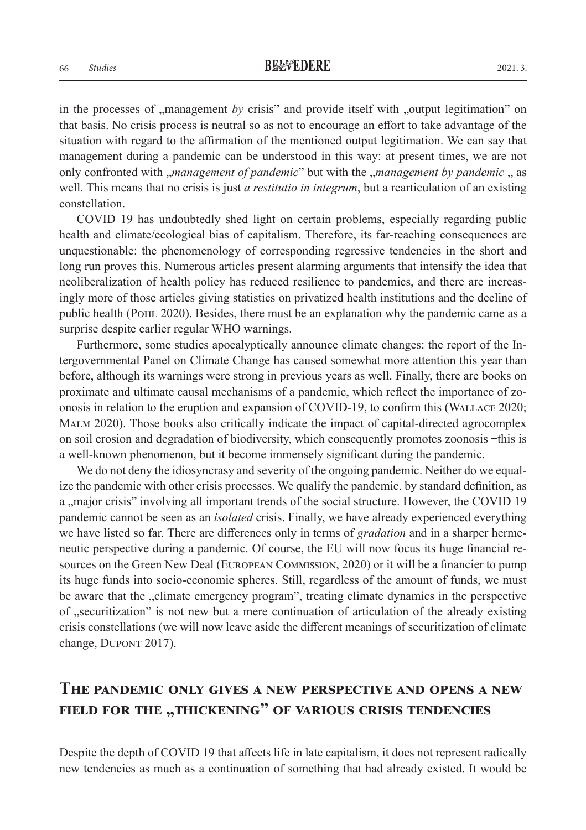in the processes of "management *by* crisis" and provide itself with "output legitimation" on that basis. No crisis process is neutral so as not to encourage an effort to take advantage of the situation with regard to the affirmation of the mentioned output legitimation. We can say that management during a pandemic can be understood in this way: at present times, we are not only confronted with "*management of pandemic*" but with the "*management by pandemic* " as well. This means that no crisis is just *a restitutio in integrum*, but a rearticulation of an existing constellation.

COVID 19 has undoubtedly shed light on certain problems, especially regarding public health and climate/ecological bias of capitalism. Therefore, its far-reaching consequences are unquestionable: the phenomenology of corresponding regressive tendencies in the short and long run proves this. Numerous articles present alarming arguments that intensify the idea that neoliberalization of health policy has reduced resilience to pandemics, and there are increasingly more of those articles giving statistics on privatized health institutions and the decline of public health (POHL 2020). Besides, there must be an explanation why the pandemic came as a surprise despite earlier regular WHO warnings.

Furthermore, some studies apocalyptically announce climate changes: the report of the Intergovernmental Panel on Climate Change has caused somewhat more attention this year than before, although its warnings were strong in previous years as well. Finally, there are books on proximate and ultimate causal mechanisms of a pandemic, which reflect the importance of zoonosis in relation to the eruption and expansion of COVID-19, to confirm this (Wallace 2020; Malm 2020). Those books also critically indicate the impact of capital-directed agrocomplex on soil erosion and degradation of biodiversity, which consequently promotes zoonosis ̶ this is a well-known phenomenon, but it become immensely significant during the pandemic.

We do not deny the idiosyncrasy and severity of the ongoing pandemic. Neither do we equalize the pandemic with other crisis processes. We qualify the pandemic, by standard definition, as a , major crisis" involving all important trends of the social structure. However, the COVID 19 pandemic cannot be seen as an *isolated* crisis. Finally, we have already experienced everything we have listed so far. There are differences only in terms of *gradation* and in a sharper hermeneutic perspective during a pandemic. Of course, the EU will now focus its huge financial resources on the Green New Deal (European Commission, 2020) or it will be a financier to pump its huge funds into socio-economic spheres. Still, regardless of the amount of funds, we must be aware that the "climate emergency program", treating climate dynamics in the perspective of "securitization" is not new but a mere continuation of articulation of the already existing crisis constellations (we will now leave aside the different meanings of securitization of climate change, DUPONT 2017).

# **The pandemic only gives a new perspective and opens a new fIELD FOR THE "THICKENING" OF VARIOUS CRISIS TENDENCIES**

Despite the depth of COVID 19 that affects life in late capitalism, it does not represent radically new tendencies as much as a continuation of something that had already existed. It would be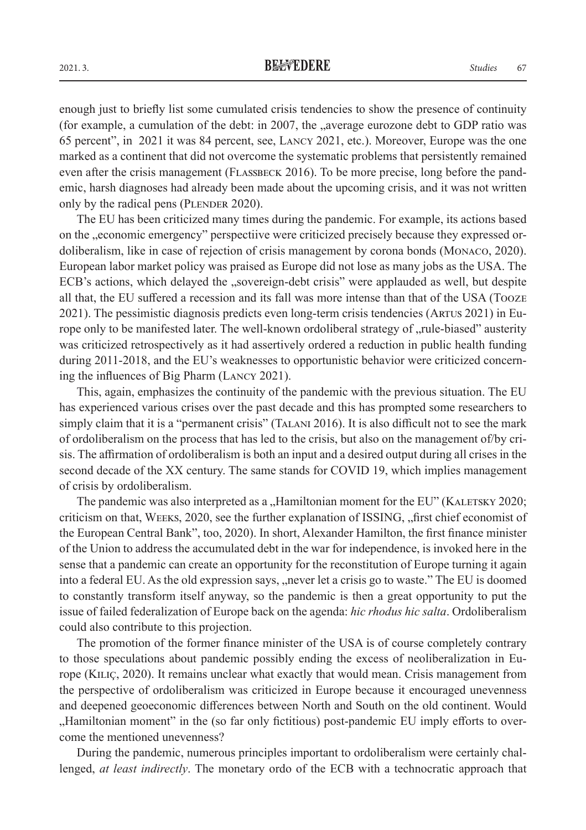enough just to briefly list some cumulated crisis tendencies to show the presence of continuity (for example, a cumulation of the debt: in 2007, the  $\alpha$  average eurozone debt to GDP ratio was 65 percent", in 2021 it was 84 percent, see, Lancy 2021, etc.). Moreover, Europe was the one marked as a continent that did not overcome the systematic problems that persistently remained even after the crisis management (FLASSBECK 2016). To be more precise, long before the pandemic, harsh diagnoses had already been made about the upcoming crisis, and it was not written only by the radical pens (PLENDER 2020).

The EU has been criticized many times during the pandemic. For example, its actions based on the "economic emergency" perspectiive were criticized precisely because they expressed ordoliberalism, like in case of rejection of crisis management by corona bonds (Monaco, 2020). European labor market policy was praised as Europe did not lose as many jobs as the USA. The ECB's actions, which delayed the "sovereign-debt crisis" were applauded as well, but despite all that, the EU suffered a recession and its fall was more intense than that of the USA (Tooze 2021). The pessimistic diagnosis predicts even long-term crisis tendencies (Artus 2021) in Europe only to be manifested later. The well-known ordoliberal strategy of "rule-biased" austerity was criticized retrospectively as it had assertively ordered a reduction in public health funding during 2011-2018, and the EU's weaknesses to opportunistic behavior were criticized concerning the influences of Big Pharm (Lancy 2021).

This, again, emphasizes the continuity of the pandemic with the previous situation. The EU has experienced various crises over the past decade and this has prompted some researchers to simply claim that it is a "permanent crisis" (TALANI 2016). It is also difficult not to see the mark of ordoliberalism on the process that has led to the crisis, but also on the management of/by crisis. The affirmation of ordoliberalism is both an input and a desired output during all crises in the second decade of the XX century. The same stands for COVID 19, which implies management of crisis by ordoliberalism.

The pandemic was also interpreted as a "Hamiltonian moment for the EU" (KALETSKY 2020; criticism on that, WEEKS, 2020, see the further explanation of ISSING, "first chief economist of the European Central Bank", too, 2020). In short, Alexander Hamilton, the first finance minister of the Union to address the accumulated debt in the war for independence, is invoked here in the sense that a pandemic can create an opportunity for the reconstitution of Europe turning it again into a federal EU. As the old expression says, "never let a crisis go to waste." The EU is doomed to constantly transform itself anyway, so the pandemic is then a great opportunity to put the issue of failed federalization of Europe back on the agenda: *hic rhodus hic salta*. Ordoliberalism could also contribute to this projection.

The promotion of the former finance minister of the USA is of course completely contrary to those speculations about pandemic possibly ending the excess of neoliberalization in Europe (Kiliç, 2020). It remains unclear what exactly that would mean. Crisis management from the perspective of ordoliberalism was criticized in Europe because it encouraged unevenness and deepened geoeconomic differences between North and South on the old continent. Would "Hamiltonian moment" in the (so far only fictitious) post-pandemic EU imply efforts to overcome the mentioned unevenness?

During the pandemic, numerous principles important to ordoliberalism were certainly challenged, *at least indirectly*. The monetary ordo of the ECB with a technocratic approach that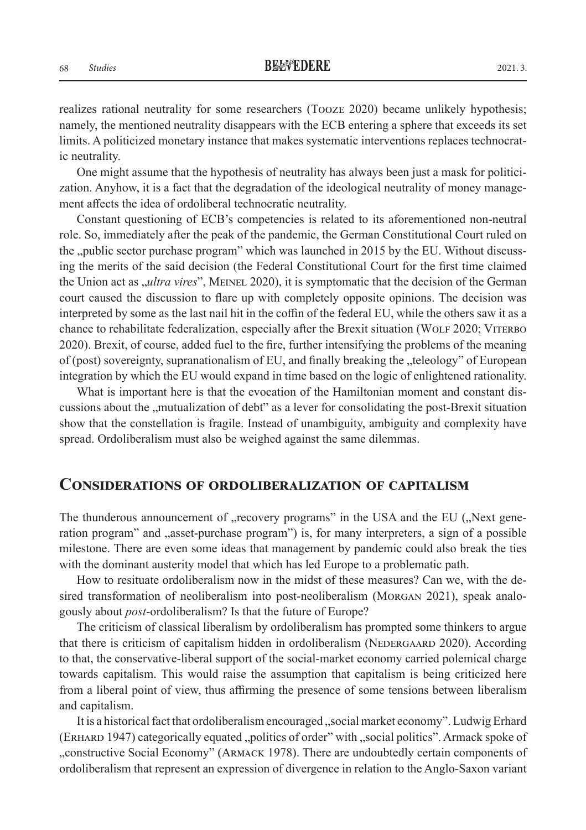realizes rational neutrality for some researchers (Tooze 2020) became unlikely hypothesis; namely, the mentioned neutrality disappears with the ECB entering a sphere that exceeds its set limits. A politicized monetary instance that makes systematic interventions replaces technocratic neutrality.

One might assume that the hypothesis of neutrality has always been just a mask for politicization. Anyhow, it is a fact that the degradation of the ideological neutrality of money management affects the idea of ordoliberal technocratic neutrality.

Constant questioning of ECB's competencies is related to its aforementioned non-neutral role. So, immediately after the peak of the pandemic, the German Constitutional Court ruled on the "public sector purchase program" which was launched in 2015 by the EU. Without discussing the merits of the said decision (the Federal Constitutional Court for the first time claimed the Union act as *, ultra vires*", MEINEL 2020), it is symptomatic that the decision of the German court caused the discussion to flare up with completely opposite opinions. The decision was interpreted by some as the last nail hit in the coffin of the federal EU, while the others saw it as a chance to rehabilitate federalization, especially after the Brexit situation (WOLF 2020; VITERBO 2020). Brexit, of course, added fuel to the fire, further intensifying the problems of the meaning of (post) sovereignty, supranationalism of EU, and finally breaking the "teleology" of European integration by which the EU would expand in time based on the logic of enlightened rationality.

What is important here is that the evocation of the Hamiltonian moment and constant discussions about the "mutualization of debt" as a lever for consolidating the post-Brexit situation show that the constellation is fragile. Instead of unambiguity, ambiguity and complexity have spread. Ordoliberalism must also be weighed against the same dilemmas.

#### **Considerations of ordoliberalization of capitalism**

The thunderous announcement of "recovery programs" in the USA and the EU ("Next generation program" and "asset-purchase program") is, for many interpreters, a sign of a possible milestone. There are even some ideas that management by pandemic could also break the ties with the dominant austerity model that which has led Europe to a problematic path.

How to resituate ordoliberalism now in the midst of these measures? Can we, with the desired transformation of neoliberalism into post-neoliberalism (Morgan 2021), speak analogously about *post*-ordoliberalism? Is that the future of Europe?

The criticism of classical liberalism by ordoliberalism has prompted some thinkers to argue that there is criticism of capitalism hidden in ordoliberalism (NEDERGAARD 2020). According to that, the conservative-liberal support of the social-market economy carried polemical charge towards capitalism. This would raise the assumption that capitalism is being criticized here from a liberal point of view, thus affirming the presence of some tensions between liberalism and capitalism.

It is a historical fact that ordoliberalism encouraged "social market economy". Ludwig Erhard (ERHARD 1947) categorically equated "politics of order" with "social politics". Armack spoke of "constructive Social Economy" (ARMACK 1978). There are undoubtedly certain components of ordoliberalism that represent an expression of divergence in relation to the Anglo-Saxon variant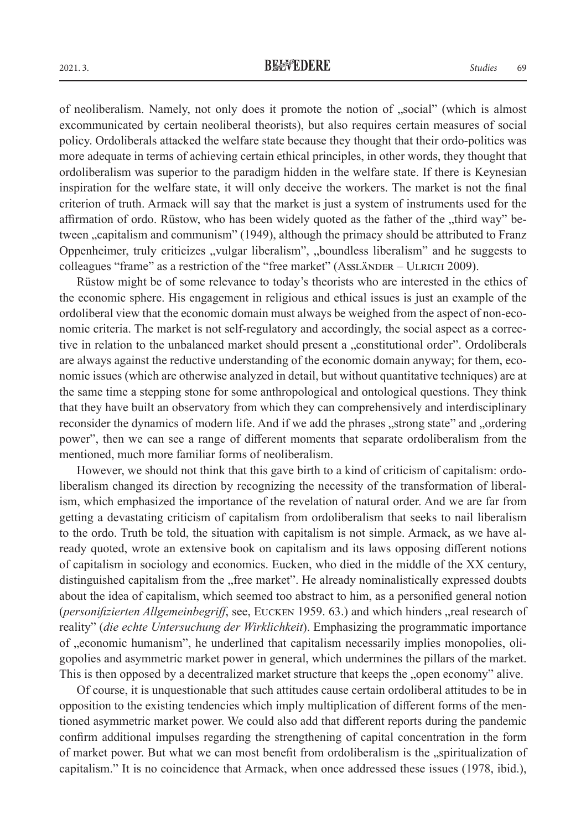of neoliberalism. Namely, not only does it promote the notion of "social" (which is almost excommunicated by certain neoliberal theorists), but also requires certain measures of social policy. Ordoliberals attacked the welfare state because they thought that their ordo-politics was more adequate in terms of achieving certain ethical principles, in other words, they thought that ordoliberalism was superior to the paradigm hidden in the welfare state. If there is Keynesian inspiration for the welfare state, it will only deceive the workers. The market is not the final criterion of truth. Armack will say that the market is just a system of instruments used for the affirmation of ordo. Rüstow, who has been widely quoted as the father of the "third way" between "capitalism and communism" (1949), although the primacy should be attributed to Franz Oppenheimer, truly criticizes "vulgar liberalism", "boundless liberalism" and he suggests to colleagues "frame" as a restriction of the "free market" (ASSLÄNDER – ULRICH 2009).

Rüstow might be of some relevance to today's theorists who are interested in the ethics of the economic sphere. His engagement in religious and ethical issues is just an example of the ordoliberal view that the economic domain must always be weighed from the aspect of non-economic criteria. The market is not self-regulatory and accordingly, the social aspect as a corrective in relation to the unbalanced market should present a "constitutional order". Ordoliberals are always against the reductive understanding of the economic domain anyway; for them, economic issues (which are otherwise analyzed in detail, but without quantitative techniques) are at the same time a stepping stone for some anthropological and ontological questions. They think that they have built an observatory from which they can comprehensively and interdisciplinary reconsider the dynamics of modern life. And if we add the phrases "strong state" and "ordering power", then we can see a range of different moments that separate ordoliberalism from the mentioned, much more familiar forms of neoliberalism.

However, we should not think that this gave birth to a kind of criticism of capitalism: ordoliberalism changed its direction by recognizing the necessity of the transformation of liberalism, which emphasized the importance of the revelation of natural order. And we are far from getting a devastating criticism of capitalism from ordoliberalism that seeks to nail liberalism to the ordo. Truth be told, the situation with capitalism is not simple. Armack, as we have already quoted, wrote an extensive book on capitalism and its laws opposing different notions of capitalism in sociology and economics. Eucken, who died in the middle of the XX century, distinguished capitalism from the "free market". He already nominalistically expressed doubts about the idea of capitalism, which seemed too abstract to him, as a personified general notion (*personifizierten Allgemeinbegriff*, see, EUCKEN 1959. 63.) and which hinders "real research of reality" (*die echte Untersuchung der Wirklichkeit*). Emphasizing the programmatic importance of "economic humanism", he underlined that capitalism necessarily implies monopolies, oligopolies and asymmetric market power in general, which undermines the pillars of the market. This is then opposed by a decentralized market structure that keeps the "open economy" alive.

Of course, it is unquestionable that such attitudes cause certain ordoliberal attitudes to be in opposition to the existing tendencies which imply multiplication of different forms of the mentioned asymmetric market power. We could also add that different reports during the pandemic confirm additional impulses regarding the strengthening of capital concentration in the form of market power. But what we can most benefit from ordoliberalism is the "spiritualization of capitalism." It is no coincidence that Armack, when once addressed these issues (1978, ibid.),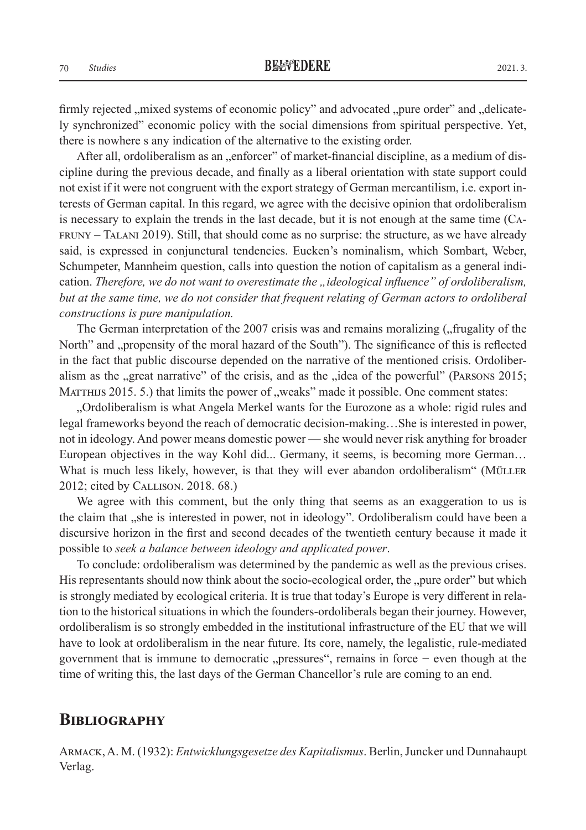firmly rejected , mixed systems of economic policy" and advocated ", pure order" and "delicately synchronized" economic policy with the social dimensions from spiritual perspective. Yet,

there is nowhere s any indication of the alternative to the existing order. After all, ordoliberalism as an "enforcer" of market-financial discipline, as a medium of discipline during the previous decade, and finally as a liberal orientation with state support could not exist if it were not congruent with the export strategy of German mercantilism, i.e. export interests of German capital. In this regard, we agree with the decisive opinion that ordoliberalism is necessary to explain the trends in the last decade, but it is not enough at the same time (Cafruny – Talani 2019). Still, that should come as no surprise: the structure, as we have already said, is expressed in conjunctural tendencies. Eucken's nominalism, which Sombart, Weber, Schumpeter, Mannheim question, calls into question the notion of capitalism as a general indication. *Therefore, we do not want to overestimate the "ideological influence" of ordoliberalism, but at the same time, we do not consider that frequent relating of German actors to ordoliberal constructions is pure manipulation.*

The German interpretation of the 2007 crisis was and remains moralizing ("frugality of the North" and "propensity of the moral hazard of the South"). The significance of this is reflected in the fact that public discourse depended on the narrative of the mentioned crisis. Ordoliberalism as the "great narrative" of the crisis, and as the "idea of the powerful" (PARSONS 2015; MATTHIJS 2015. 5.) that limits the power of "weaks" made it possible. One comment states:

"Ordoliberalism is what Angela Merkel wants for the Eurozone as a whole: rigid rules and legal frameworks beyond the reach of democratic decision-making…She is interested in power, not in ideology. And power means domestic power — she would never risk anything for broader European objectives in the way Kohl did... Germany, it seems, is becoming more German… What is much less likely, however, is that they will ever abandon ordoliberalism" (MÜLLER 2012; cited by Callison. 2018. 68.)

We agree with this comment, but the only thing that seems as an exaggeration to us is the claim that "she is interested in power, not in ideology". Ordoliberalism could have been a discursive horizon in the first and second decades of the twentieth century because it made it possible to *seek a balance between ideology and applicated power*.

To conclude: ordoliberalism was determined by the pandemic as well as the previous crises. His representants should now think about the socio-ecological order, the "pure order" but which is strongly mediated by ecological criteria. It is true that today's Europe is very different in relation to the historical situations in which the founders-ordoliberals began their journey. However, ordoliberalism is so strongly embedded in the institutional infrastructure of the EU that we will have to look at ordoliberalism in the near future. Its core, namely, the legalistic, rule-mediated government that is immune to democratic  $n$ , pressures", remains in force  $-\neq$  even though at the time of writing this, the last days of the German Chancellor's rule are coming to an end.

### **Bibliography**

Armack, A. M. (1932): *Entwicklungsgesetze des Kapitalismus*. Berlin, Juncker und Dunnahaupt Verlag.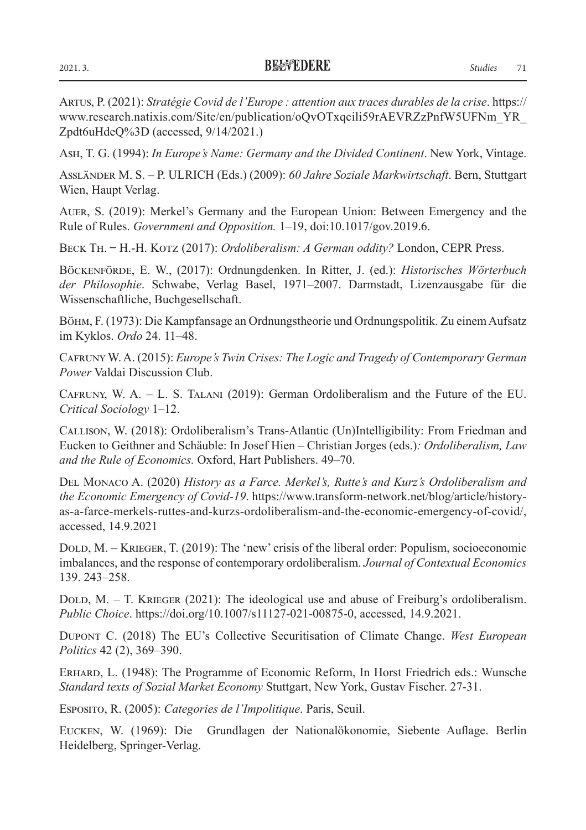Artus, P. (2021): *Stratégie Covid de l'Europe : attention aux traces durables de la crise*. https:// www.research.natixis.com/Site/en/publication/oQvOTxqcili59rAEVRZzPnfW5UFNm\_YR\_ Zpdt6uHdeQ%3D (accessed, 9/14/2021.)

Ash, T. G. (1994): *In Europe's Name: Germany and the Divided Continent*. New York, Vintage.

Assländer M. S. – P. ULRICH (Eds.) (2009): *60 Jahre Soziale Markwirtschaft*. Bern, Stuttgart Wien, Haupt Verlag.

Auer, S. (2019): Merkel's Germany and the European Union: Between Emergency and the Rule of Rules. *Government and Opposition.* 1–19, doi:10.1017/gov.2019.6.

Beck Th. ̶ H.-H. Kotz (2017): *Ordoliberalism: A German oddity?* London, CEPR Press.

Böckenförde, E. W., (2017): Ordnungdenken. In Ritter, J. (ed.): *Historisches Wörterbuch der Philosophie*. Schwabe, Verlag Basel, 1971–2007. Darmstadt, Lizenzausgabe für die Wissenschaftliche, Buchgesellschaft.

Böhm, F. (1973): Die Kampfansage an Ordnungstheorie und Ordnungspolitik. Zu einem Aufsatz im Kyklos. *Ordo* 24. 11–48.

Cafruny W. A. (2015): *Europe's Twin Crises: The Logic and Tragedy of Contemporary German Power* Valdai Discussion Club.

Cafruny, W. A. – L. S. Talani (2019): German Ordoliberalism and the Future of the EU. *Critical Sociology* 1–12.

Callison, W. (2018): Ordoliberalism's Trans-Atlantic (Un)Intelligibility: From Friedman and Eucken to Geithner and Schäuble: In Josef Hien – Christian Jorges (eds.)*: Ordoliberalism, Law and the Rule of Economics.* Oxford, Hart Publishers. 49–70.

Del Monaco A. (2020) *History as a Farce. Merkel's, Rutte's and Kurz's Ordoliberalism and the Economic Emergency of Covid-19*. https://www.transform-network.net/blog/article/historyas-a-farce-merkels-ruttes-and-kurzs-ordoliberalism-and-the-economic-emergency-of-covid/, accessed, 14.9.2021

DOLD, M. – KRIEGER, T. (2019): The 'new' crisis of the liberal order: Populism, socioeconomic imbalances, and the response of contemporary ordoliberalism. *Journal of Contextual Economics* 139. 243–258.

DOLD,  $M. - T.$  KRIEGER (2021): The ideological use and abuse of Freiburg's ordoliberalism. *Public Choice*. https://doi.org/10.1007/s11127-021-00875-0, accessed, 14.9.2021.

Dupont C. (2018) The EU's Collective Securitisation of Climate Change. *West European Politics* 42 (2), 369–390.

Erhard, L. (1948): The Programme of Economic Reform, In Horst Friedrich eds.: Wunsche *Standard texts of Sozial Market Economy* Stuttgart, New York, Gustav Fischer. 27-31.

Esposito, R. (2005): *Categories de l'Impolitique*. Paris, Seuil.

Eucken, W. (1969): Die Grundlagen der Nationalökonomie, Siebente Auflage. Berlin Heidelberg, Springer-Verlag.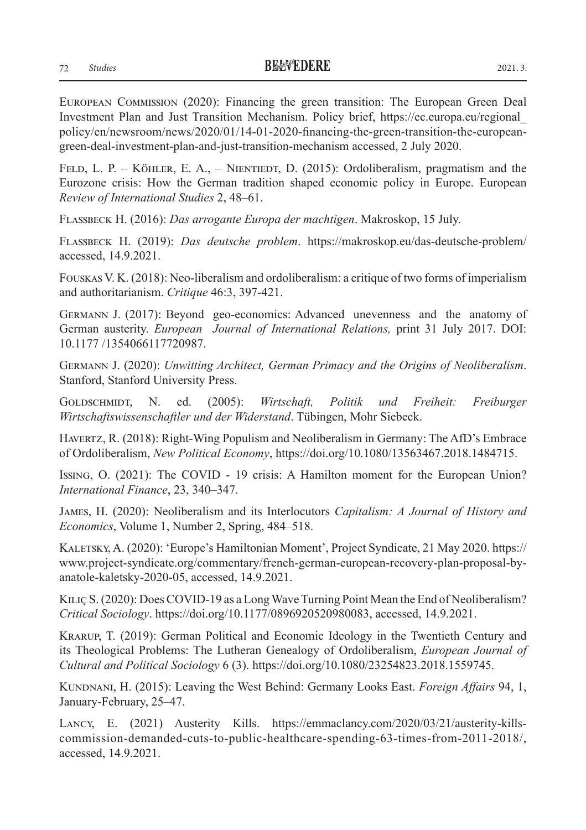European Commission (2020): Financing the green transition: The European Green Deal Investment Plan and Just Transition Mechanism. Policy brief, https://ec.europa.eu/regional\_ policy/en/newsroom/news/2020/01/14-01-2020-financing-the-green-transition-the-europeangreen-deal-investment-plan-and-just-transition-mechanism accessed, 2 July 2020.

FELD, L. P. – KÖHLER, E. A., – NIENTIEDT, D. (2015): Ordoliberalism, pragmatism and the Eurozone crisis: How the German tradition shaped economic policy in Europe. European *Review of International Studies* 2, 48–61.

Flassbeck H. (2016): *Das arrogante Europa der machtigen*. Makroskop, 15 July.

Flassbeck H. (2019): *Das deutsche problem*. https://makroskop.eu/das-deutsche-problem/ accessed, 14.9.2021.

Fouskas V. K. (2018): Neo-liberalism and ordoliberalism: a critique of two forms of imperialism and authoritarianism. *Critique* 46:3, 397-421.

Germann J. (2017): Beyond geo-economics: Advanced unevenness and the anatomy of German austerity. *European Journal of International Relations,* print 31 July 2017. DOI: 10.1177 /1354066117720987.

Germann J. (2020): *Unwitting Architect, German Primacy and the Origins of Neoliberalism*. Stanford, Stanford University Press.

Goldschmidt, N. ed. (2005): *Wirtschaft, Politik und Freiheit: Freiburger Wirtschaftswissenschaftler und der Widerstand*. Tübingen, Mohr Siebeck.

Havertz, R. (2018): Right-Wing Populism and Neoliberalism in Germany: The AfD's Embrace of Ordoliberalism, *New Political Economy*, https://doi.org/10.1080/13563467.2018.1484715.

Issing, O. (2021): The COVID ‐ 19 crisis: A Hamilton moment for the European Union? *International Finance*, 23, 340–347.

James, H. (2020): Neoliberalism and its Interlocutors *Capitalism: A Journal of History and Economics*, Volume 1, Number 2, Spring, 484–518.

Kaletsky, A. (2020): 'Europe's Hamiltonian Moment', Project Syndicate, 21 May 2020. https:// www.project-syndicate.org/commentary/french-german-european-recovery-plan-proposal-byanatole-kaletsky-2020-05, accessed, 14.9.2021.

Kiliç S. (2020): Does COVID-19 as a Long Wave Turning Point Mean the End of Neoliberalism? *Critical Sociology*. https://doi.org/10.1177/0896920520980083, accessed, 14.9.2021.

Krarup, T. (2019): German Political and Economic Ideology in the Twentieth Century and its Theological Problems: The Lutheran Genealogy of Ordoliberalism, *European Journal of Cultural and Political Sociology* 6 (3). https://doi.org/10.1080/23254823.2018.1559745.

Kundnani, H. (2015): Leaving the West Behind: Germany Looks East. *Foreign Affairs* 94, 1, January-February, 25–47.

Lancy, E. (2021) Austerity Kills. https://emmaclancy.com/2020/03/21/austerity-killscommission-demanded-cuts-to-public-healthcare-spending-63-times-from-2011-2018/, accessed, 14.9.2021.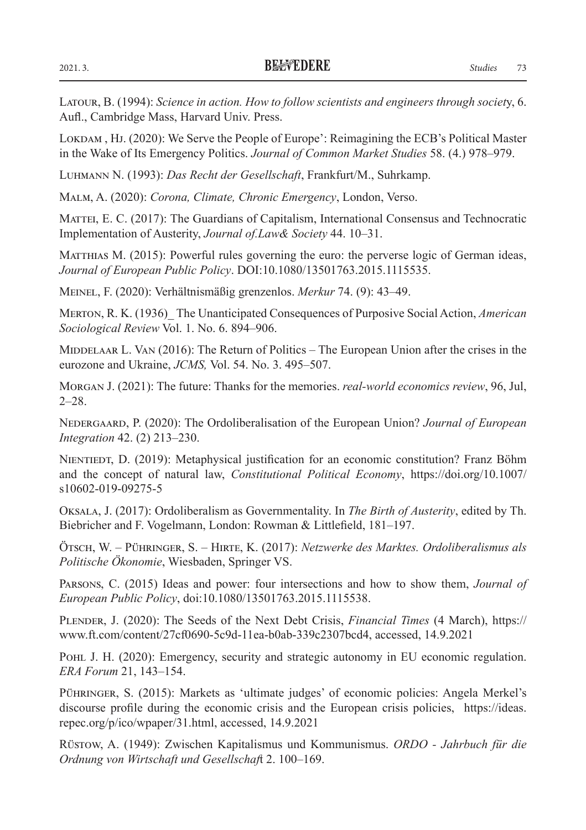Latour, B. (1994): *Science in action. How to follow scientists and engineers through societ*y, 6. Aufl., Cambridge Mass, Harvard Univ. Press.

LOKDAM, HJ. (2020): We Serve the People of Europe': Reimagining the ECB's Political Master in the Wake of Its Emergency Politics. *Journal of Common Market Studies* 58. (4.) 978–979.

Luhmann N. (1993): *Das Recht der Gesellschaft*, Frankfurt/M., Suhrkamp.

Malm, A. (2020): *Corona, Climate, Chronic Emergency*, London, Verso.

MATTEI, E. C. (2017): The Guardians of Capitalism, International Consensus and Technocratic Implementation of Austerity, *Journal of.Law& Society* 44. 10–31.

MATTHIAS M. (2015): Powerful rules governing the euro: the perverse logic of German ideas, *Journal of European Public Policy*. DOI:10.1080/13501763.2015.1115535.

Meinel, F. (2020): Verhältnismäßig grenzenlos. *Merkur* 74. (9): 43–49.

Merton, R. K. (1936)\_ The Unanticipated Consequences of Purposive Social Action, *American Sociological Review* Vol. 1. No. 6. 894–906.

MIDDELAAR L. VAN (2016): The Return of Politics – The European Union after the crises in the eurozone and Ukraine, *JCMS,* Vol. 54. No. 3. 495–507.

Morgan J. (2021): The future: Thanks for the memories. *real-world economics review*, 96, Jul, 2–28.

Nedergaard, P. (2020): The Ordoliberalisation of the European Union? *Journal of European Integration* 42. (2) 213–230.

NIENTIEDT, D. (2019): Metaphysical justification for an economic constitution? Franz Böhm and the concept of natural law, *Constitutional Political Economy*, https://doi.org/10.1007/ s10602-019-09275-5

Oksala, J. (2017): Ordoliberalism as Governmentality. In *The Birth of Austerity*, edited by Th. Biebricher and F. Vogelmann, London: Rowman & Littlefield, 181–197.

Ötsch, W. – Pühringer, S. – Hirte, K. (2017): *Netzwerke des Marktes. Ordoliberalismus als Politische Ökonomie*, Wiesbaden, Springer VS.

Parsons, C. (2015) Ideas and power: four intersections and how to show them, *Journal of European Public Policy*, doi:10.1080/13501763.2015.1115538.

Plender, J. (2020): The Seeds of the Next Debt Crisis, *Financial Times* (4 March), https:// www.ft.com/content/27cf0690-5c9d-11ea-b0ab-339c2307bcd4, accessed, 14.9.2021

POHL J. H. (2020): Emergency, security and strategic autonomy in EU economic regulation. *ERA Forum* 21, 143–154.

Pühringer, S. (2015): Markets as 'ultimate judges' of economic policies: Angela Merkel's discourse profile during the economic crisis and the European crisis policies, https://ideas. repec.org/p/ico/wpaper/31.html, accessed, 14.9.2021

Rüstow, A. (1949): Zwischen Kapitalismus und Kommunismus. *ORDO - Jahrbuch für die Ordnung von Wirtschaft und Gesellschaf*t 2. 100–169.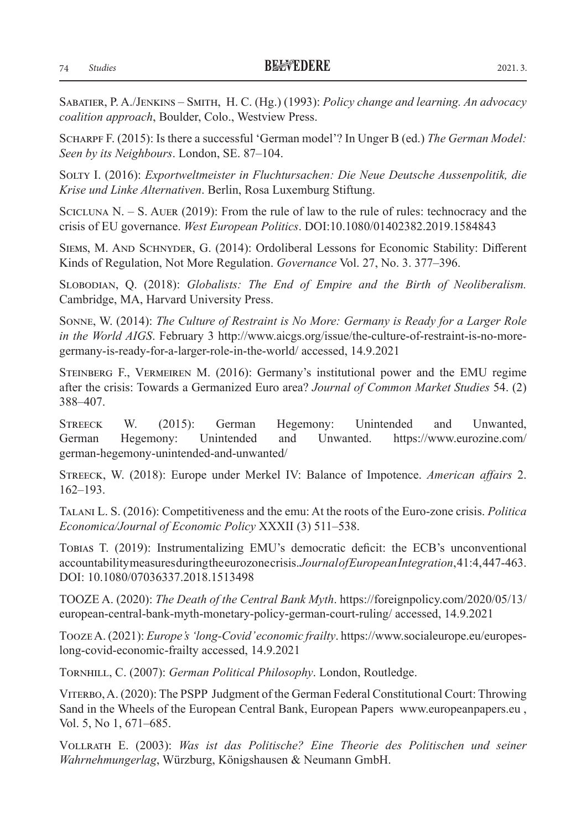Sabatier, P. A./Jenkins – Smith, H. C. (Hg.) (1993): *Policy change and learning. An advocacy coalition approach*, Boulder, Colo., Westview Press.

Scharpf F. (2015): Is there a successful 'German model'? In Unger B (ed.) *The German Model: Seen by its Neighbours*. London, SE. 87–104.

Solty I. (2016): *Exportweltmeister in Fluchtursachen: Die Neue Deutsche Aussenpolitik, die Krise und Linke Alternativen*. Berlin, Rosa Luxemburg Stiftung.

SCICLUNA N.  $-$  S. AUER (2019): From the rule of law to the rule of rules: technocracy and the crisis of EU governance. *West European Politics*. DOI:10.1080/01402382.2019.1584843

Siems, M. And Schnyder, G. (2014): Ordoliberal Lessons for Economic Stability: Different Kinds of Regulation, Not More Regulation. *Governance* Vol. 27, No. 3. 377–396.

Slobodian, Q. (2018): *Globalists: The End of Empire and the Birth of Neoliberalism.*  Cambridge, MA, Harvard University Press.

Sonne, W. (2014): *The Culture of Restraint is No More: Germany is Ready for a Larger Role in the World AIGS*. February 3 http://www.aicgs.org/issue/the-culture-of-restraint-is-no-moregermany-is-ready-for-a-larger-role-in-the-world/ accessed, 14.9.2021

Steinberg F., Vermeiren M. (2016): Germany's institutional power and the EMU regime after the crisis: Towards a Germanized Euro area? *Journal of Common Market Studies* 54. (2) 388–407.

Streeck W. (2015): German Hegemony: Unintended and Unwanted, German Hegemony: Unintended and Unwanted. https://www.eurozine.com/ german-hegemony-unintended-and-unwanted/

Streeck, W. (2018): Europe under Merkel IV: Balance of Impotence. *American affairs* 2. 162–193.

Talani L. S. (2016): Competitiveness and the emu: At the roots of the Euro-zone crisis. *Politica Economica/Journal of Economic Policy* XXXII (3) 511–538.

Tobias T. (2019): Instrumentalizing EMU's democratic deficit: the ECB's unconventional accountability measures during the eurozone crisis. *Journal of European Integration*, 41:4, 447-463. DOI: 10.1080/07036337.2018.1513498

TOOZE A. (2020): *The Death of the Central Bank Myth*. https://foreignpolicy.com/2020/05/13/ european-central-bank-myth-monetary-policy-german-court-ruling/ accessed, 14.9.2021

Tooze A. (2021): *Europe's 'long-Covid' economic frailty*. https://www.socialeurope.eu/europeslong-covid-economic-frailty accessed, 14.9.2021

Tornhill, C. (2007): *German Political Philosophy*. London, Routledge.

Viterbo, A. (2020): The PSPP Judgment of the German Federal Constitutional Court: Throwing Sand in the Wheels of the European Central Bank, European Papers www.europeanpapers.eu , Vol. 5, No 1, 671–685.

Vollrath E. (2003): *Was ist das Politische? Eine Theorie des Politischen und seiner Wahrnehmungerlag*, Würzburg, Königshausen & Neumann GmbH.